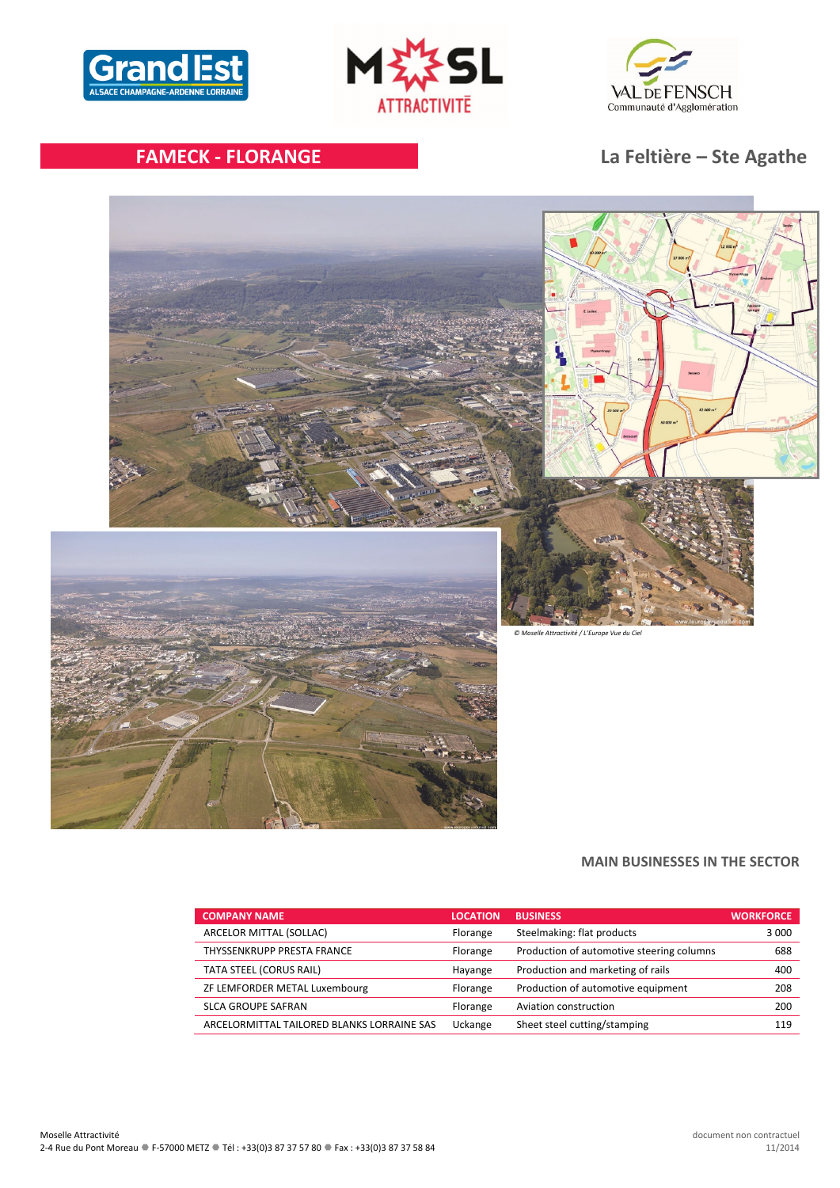





# **FAMECK ‐ FLORANGE La Feltière – Ste Agathe**



# **MAIN BUSINESSES IN THE SECTOR**

| <b>COMPANY NAME</b>                        | <b>LOCATION</b> | <b>BUSINESS</b>                           | <b>WORKFORCE</b> |
|--------------------------------------------|-----------------|-------------------------------------------|------------------|
| ARCELOR MITTAL (SOLLAC)                    | Florange        | Steelmaking: flat products                | 3 0 0 0          |
| THYSSENKRUPP PRESTA FRANCE                 | Florange        | Production of automotive steering columns | 688              |
| TATA STEEL (CORUS RAIL)                    | Hayange         | Production and marketing of rails         | 400              |
| ZF LEMFORDER METAL Luxembourg              | Florange        | Production of automotive equipment        | 208              |
| <b>SLCA GROUPE SAFRAN</b>                  | Florange        | Aviation construction                     | 200              |
| ARCELORMITTAL TAILORED BLANKS LORRAINE SAS | Uckange         | Sheet steel cutting/stamping              | 119              |